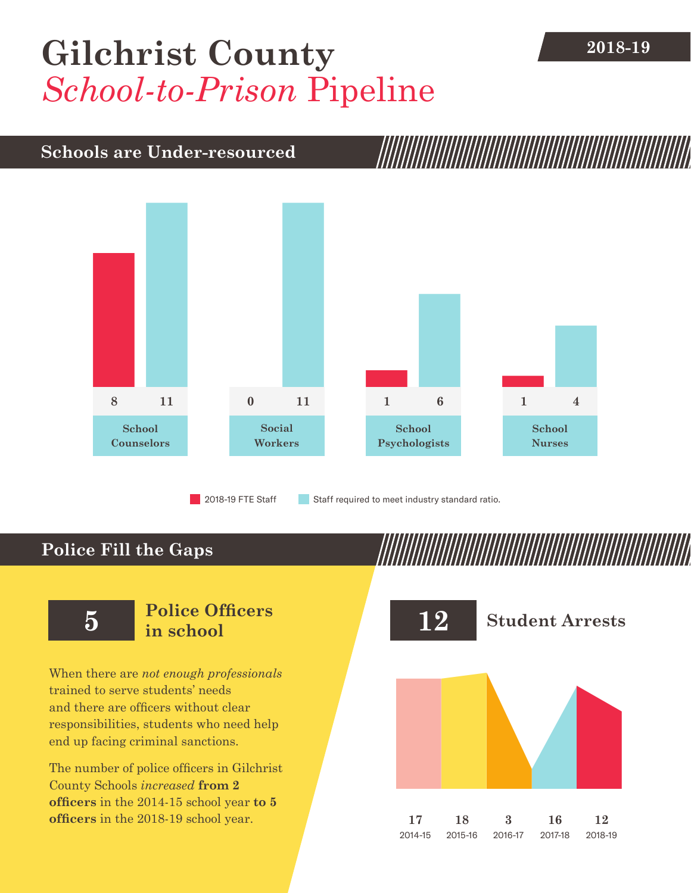# [Gilchrist County](DBF_County) 2018-19 *School-to-Prison* Pipeline

### **Schools are Under-resourced**



2018-19 FTE Staff **Staff required to meet industry standard ratio.** 

## **Police Fill the Gaps**

When there are *not enough professionals* trained to serve students' needs and there are officers without clear responsibilities, students who need help end up facing criminal sanctions.

The number of police officers in [Gilchrist](DBF_County)  [County](DBF_County) Schools *increased* **from [2](DBF_PO1415) officers** in the 2014-15 school year **to [5](DBF_PO) officers** in the 2018-19 school year.